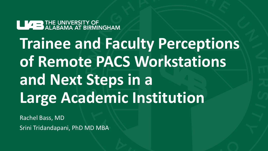**LUARE THE UNIVERSITY OF ALABAMA AT BIRMINGHAM.** 

**Trainee and Faculty Perceptions of Remote PACS Workstations and Next Steps in a Large Academic Institution**

Rachel Bass, MD Srini Tridandapani, PhD MD MBA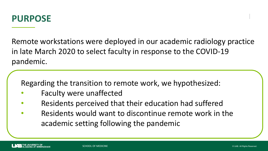

Remote workstations were deployed in our academic radiology practice in late March 2020 to select faculty in response to the COVID-19 pandemic.

Regarding the transition to remote work, we hypothesized:

- Faculty were unaffected
- Residents perceived that their education had suffered
- Residents would want to discontinue remote work in the academic setting following the pandemic

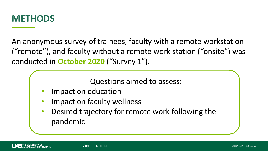

An anonymous survey of trainees, faculty with a remote workstation ("remote"), and faculty without a remote work station ("onsite") was conducted in **October 2020** ("Survey 1").

Questions aimed to assess:

- Impact on education
- Impact on faculty wellness
- Desired trajectory for remote work following the pandemic

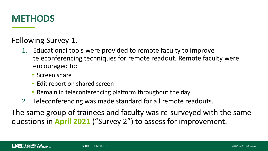

Following Survey 1,

- 1. Educational tools were provided to remote faculty to improve teleconferencing techniques for remote readout. Remote faculty were encouraged to:
	- Screen share
	- Edit report on shared screen
	- Remain in teleconferencing platform throughout the day
- 2. Teleconferencing was made standard for all remote readouts.

The same group of trainees and faculty was re-surveyed with the same questions in **April 2021** ("Survey 2") to assess for improvement.

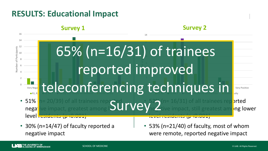## **RESULTS: Educational Impact**

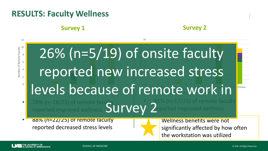## **RESULTS: Faculty Wellness**

### **Survey 1**

### **Survey 2**

2 4 6 8 10 Number of Remote Faculty

12

 $\Omega$ 

#### • 81% (n=17/21) of remote faculty Very 10 and 10 and 10 and 10 and 10 and 10 and 10 and 10 and 10 and 10 and 10 and 10 and 10 and 10 and 10 and 5 Days 10 days 10 days 10 days 10 days 10 days 10 days 10 days 11 days 10 days 10 days 10 days 10 days 10 days 2 3 reported new increased stress 6 7 26% (n=5/19) of onsite faculty 9 Very Negative Negative Negative Negative Negative Very Positive **Amb** r of Remote Faculty 1 day 12 d V V 3 days 1-5 d N levels because of remote work in

10

- $\overline{78\%}$  (n=18/23) of remote faculty reported improved wellness oorted improved wellness Survey 2
- 88% (n=22/25) of remote faculty reported decreased stress levels

Wellness benefits were not significantly affected by how often the workstation was utilized

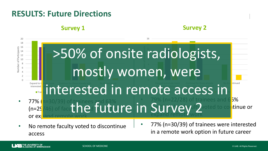### **RESULTS: Future Directions**

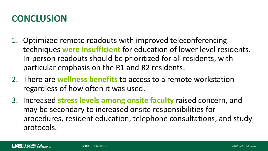# **CONCLUSION**

- 1. Optimized remote readouts with improved teleconferencing techniques **were insufficient** for education of lower level residents. In-person readouts should be prioritized for all residents, with particular emphasis on the R1 and R2 residents.
- 2. There are **wellness benefits** to access to a remote workstation regardless of how often it was used.
- 3. Increased **stress levels among onsite faculty** raised concern, and may be secondary to increased onsite responsibilities for procedures, resident education, telephone consultations, and study protocols.

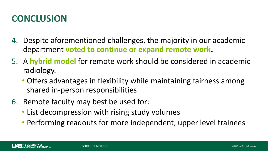# **CONCLUSION**

- 4. Despite aforementioned challenges, the majority in our academic department **voted to continue or expand remote work.**
- 5. A **hybrid model** for remote work should be considered in academic radiology.
	- Offers advantages in flexibility while maintaining fairness among shared in-person responsibilities
- 6. Remote faculty may best be used for:
	- List decompression with rising study volumes
	- Performing readouts for more independent, upper level trainees